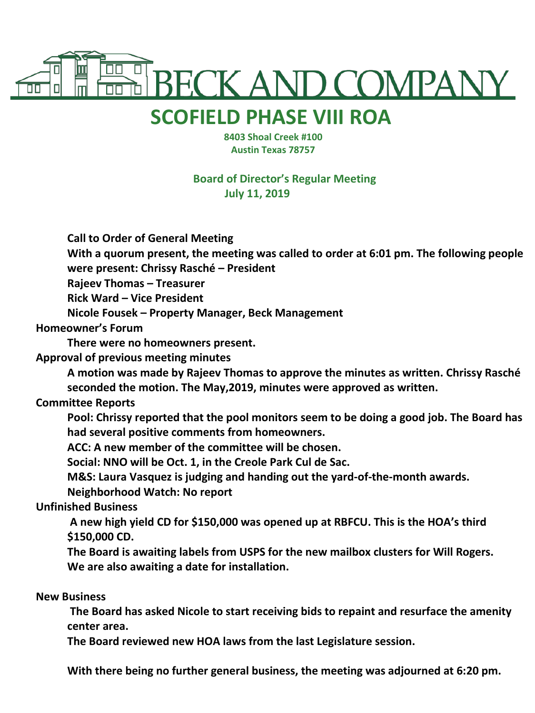

## **SCOFIELD PHASE VIII ROA**

 **8403 Shoal Creek #100 Austin Texas 78757**

**Board of Director's Regular Meeting July 11, 2019**

**Call to Order of General Meeting**

**With a quorum present, the meeting was called to order at 6:01 pm. The following people were present: Chrissy Rasché – President**

**Rajeev Thomas – Treasurer**

**Rick Ward – Vice President**

**Nicole Fousek – Property Manager, Beck Management**

**Homeowner's Forum**

**There were no homeowners present.**

**Approval of previous meeting minutes**

**A motion was made by Rajeev Thomas to approve the minutes as written. Chrissy Rasché seconded the motion. The May,2019, minutes were approved as written.**

## **Committee Reports**

**Pool: Chrissy reported that the pool monitors seem to be doing a good job. The Board has had several positive comments from homeowners.**

**ACC: A new member of the committee will be chosen.**

**Social: NNO will be Oct. 1, in the Creole Park Cul de Sac.**

**M&S: Laura Vasquez is judging and handing out the yard-of-the-month awards.**

**Neighborhood Watch: No report**

**Unfinished Business**

**A new high yield CD for \$150,000 was opened up at RBFCU. This is the HOA's third \$150,000 CD.**

**The Board is awaiting labels from USPS for the new mailbox clusters for Will Rogers. We are also awaiting a date for installation.**

**New Business**

**The Board has asked Nicole to start receiving bids to repaint and resurface the amenity center area.**

**The Board reviewed new HOA laws from the last Legislature session.**

**With there being no further general business, the meeting was adjourned at 6:20 pm.**